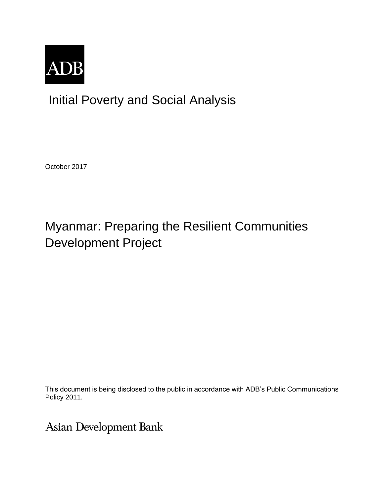

## Initial Poverty and Social Analysis

October 2017

## Myanmar: Preparing the Resilient Communities Development Project

This document is being disclosed to the public in accordance with ADB's Public Communications Policy 2011.

Asian Development Bank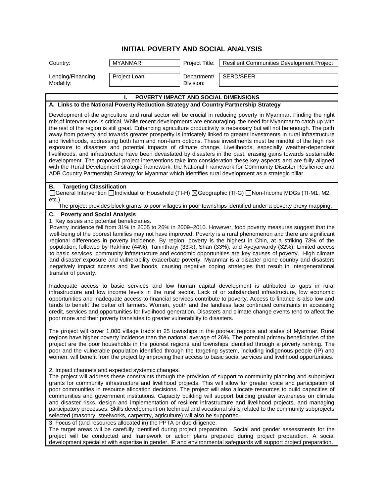## **INITIAL POVERTY AND SOCIAL ANALYSIS**

| Country:                                                                                                    | <b>MYANMAR</b>                                                                                                                      | Project Title:           | <b>Resilient Communities Development Project</b>                                                                                                                                                                                                                                                                                                                                                                                                                                                                                                                                                                                                                                                                                                                                                                                                                                                                                                                                                                                                                                                                                                                                           |
|-------------------------------------------------------------------------------------------------------------|-------------------------------------------------------------------------------------------------------------------------------------|--------------------------|--------------------------------------------------------------------------------------------------------------------------------------------------------------------------------------------------------------------------------------------------------------------------------------------------------------------------------------------------------------------------------------------------------------------------------------------------------------------------------------------------------------------------------------------------------------------------------------------------------------------------------------------------------------------------------------------------------------------------------------------------------------------------------------------------------------------------------------------------------------------------------------------------------------------------------------------------------------------------------------------------------------------------------------------------------------------------------------------------------------------------------------------------------------------------------------------|
| Lending/Financing<br>Modality:                                                                              | Project Loan                                                                                                                        | Department/<br>Division: | SERD/SEER                                                                                                                                                                                                                                                                                                                                                                                                                                                                                                                                                                                                                                                                                                                                                                                                                                                                                                                                                                                                                                                                                                                                                                                  |
|                                                                                                             | POVERTY IMPACT AND SOCIAL DIMENSIONS                                                                                                |                          |                                                                                                                                                                                                                                                                                                                                                                                                                                                                                                                                                                                                                                                                                                                                                                                                                                                                                                                                                                                                                                                                                                                                                                                            |
|                                                                                                             | A. Links to the National Poverty Reduction Strategy and Country Partnership Strategy                                                |                          |                                                                                                                                                                                                                                                                                                                                                                                                                                                                                                                                                                                                                                                                                                                                                                                                                                                                                                                                                                                                                                                                                                                                                                                            |
|                                                                                                             |                                                                                                                                     |                          | Development of the agriculture and rural sector will be crucial in reducing poverty in Myanmar. Finding the right<br>mix of interventions is critical. While recent developments are encouraging, the need for Myanmar to catch up with<br>the rest of the region is still great. Enhancing agriculture productivity is necessary but will not be enough. The path<br>away from poverty and towards greater prosperity is intricately linked to greater investments in rural infrastructure<br>and livelihoods, addressing both farm and non-farm options. These investments must be mindful of the high risk<br>exposure to disasters and potential impacts of climate change. Livelihoods, especially weather-dependent<br>livelihoods, and infrastructure have been devastated by disasters in the past, erasing gains towards sustainable<br>development. The proposed project interventions take into consideration these key aspects and are fully aligned<br>with the Rural Development strategic framework, the National Framework for Community Disaster Resilience and<br>ADB Country Partnership Strategy for Myanmar which identifies rural development as a strategic pillar. |
| <b>Targeting Classification</b><br>В.<br>$etc.$ )                                                           |                                                                                                                                     |                          | [General Intervention   Individual or Household (TI-H) ⊠Geographic (TI-G) [Non-Income MDGs (TI-M1, M2,<br>The project provides block grants to poor villages in poor townships identified under a poverty proxy mapping.                                                                                                                                                                                                                                                                                                                                                                                                                                                                                                                                                                                                                                                                                                                                                                                                                                                                                                                                                                   |
| <b>C.</b> Poverty and Social Analysis<br>1. Key issues and potential beneficiaries.<br>transfer of poverty. |                                                                                                                                     |                          | Poverty incidence fell from 31% in 2005 to 26% in 2009-2010. However, food poverty measures suggest that the<br>well-being of the poorest families may not have improved. Poverty is a rural phenomenon and there are significant<br>regional differences in poverty incidence. By region, poverty is the highest in Chin, at a striking 73% of the<br>population, followed by Rakhine (44%), Tanintharyi (33%), Shan (33%), and Ayeyarwardy (32%). Limited access<br>to basic services, community infrastructure and economic opportunities are key causes of poverty. High climate<br>and disaster exposure and vulnerability exacerbate poverty. Myanmar is a disaster prone country and disasters<br>negatively impact access and livelihoods, causing negative coping strategies that result in intergenerational                                                                                                                                                                                                                                                                                                                                                                     |
|                                                                                                             | poor more and their poverty translates to greater vulnerability to disasters.                                                       |                          | Inadequate access to basic services and low human capital development is attributed to gaps in rural<br>infrastructure and low income levels in the rural sector. Lack of or substandard infrastructure, low economic<br>opportunities and inadequate access to financial services contribute to poverty. Access to finance is also low and<br>tends to benefit the better off farmers. Women, youth and the landless face continued constraints in accessing<br>credit, services and opportunities for livelihood generation. Disasters and climate change events tend to affect the                                                                                                                                                                                                                                                                                                                                                                                                                                                                                                                                                                                                      |
|                                                                                                             |                                                                                                                                     |                          | The project will cover 1,000 village tracts in 25 townships in the poorest regions and states of Myanmar. Rural<br>regions have higher poverty incidence than the national average of 26%. The potential primary beneficiaries of the<br>project are the poor households in the poorest regions and townships identified through a poverty ranking. The<br>poor and the vulnerable population identified through the targeting system, including indigenous people (IP) and<br>women, will benefit from the project by improving their access to basic social services and livelihood opportunities.                                                                                                                                                                                                                                                                                                                                                                                                                                                                                                                                                                                       |
|                                                                                                             | 2. Impact channels and expected systemic changes.<br>selected (masonry, steelworks, carpentry, agriculture) will also be supported. |                          | The project will address these constraints through the provision of support to community planning and subproject<br>grants for community infrastructure and livelihood projects. This will allow for greater voice and participation of<br>poor communities in resource allocation decisions. The project will also allocate resources to build capacities of<br>communities and government institutions. Capacity building will support building greater awareness on climate<br>and disaster risks, design and implementation of resilient infrastructure and livelihood projects, and managing<br>participatory processes. Skills development on technical and vocational skills related to the community subprojects                                                                                                                                                                                                                                                                                                                                                                                                                                                                   |
|                                                                                                             | 3. Focus of (and resources allocated in) the PPTA or due diligence.                                                                 |                          | The target areas will be carefully identified during project preparation. Social and gender assessments for the<br>project will be conducted and framework or action plans prepared during project preparation. A social<br>development specialist with expertise in gender, IP and environmental safeguards will support project preparation.                                                                                                                                                                                                                                                                                                                                                                                                                                                                                                                                                                                                                                                                                                                                                                                                                                             |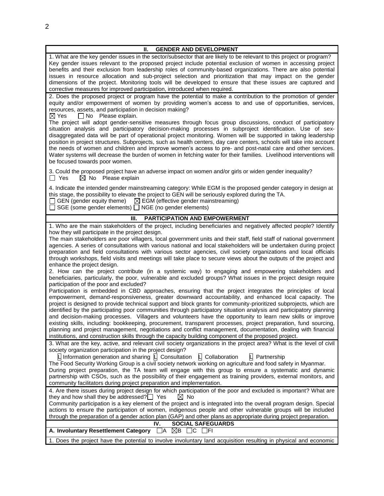| Ш.<br><b>GENDER AND DEVELOPMENT</b>                                                                                                                                                                                                                                                                                                                                                                                                                                                                                                                                                                                                                                                                                                                                                                                                                                                                                           |
|-------------------------------------------------------------------------------------------------------------------------------------------------------------------------------------------------------------------------------------------------------------------------------------------------------------------------------------------------------------------------------------------------------------------------------------------------------------------------------------------------------------------------------------------------------------------------------------------------------------------------------------------------------------------------------------------------------------------------------------------------------------------------------------------------------------------------------------------------------------------------------------------------------------------------------|
| 1. What are the key gender issues in the sector/subsector that are likely to be relevant to this project or program?<br>Key gender issues relevant to the proposed project include potential exclusion of women in accessing project<br>benefits and their exclusion from leadership roles of community-based organizations. There are also potential<br>issues in resource allocation and sub-project selection and prioritization that may impact on the gender<br>dimensions of the project. Monitoring tools will be developed to ensure that these issues are captured and<br>corrective measures for improved participation, introduced when required.                                                                                                                                                                                                                                                                  |
| 2. Does the proposed project or program have the potential to make a contribution to the promotion of gender<br>equity and/or empowerment of women by providing women's access to and use of opportunities, services,<br>resources, assets, and participation in decision making?<br>$\boxtimes$ Yes<br>$\Box$ No Please explain.                                                                                                                                                                                                                                                                                                                                                                                                                                                                                                                                                                                             |
| The project will adopt gender-sensitive measures through focus group discussions, conduct of participatory<br>situation analysis and participatory decision-making processes in subproject identification. Use of sex-<br>disaggregated data will be part of operational project monitoring. Women will be supported in taking leadership<br>position in project structures. Subprojects, such as health centers, day care centers, schools will take into account<br>the needs of women and children and improve women's access to pre- and post-natal care and other services.<br>Water systems will decrease the burden of women in fetching water for their families. Livelihood interventions will<br>be focused towards poor women.                                                                                                                                                                                     |
| 3. Could the proposed project have an adverse impact on women and/or girls or widen gender inequality?<br>$\Box$ Yes<br>$\boxtimes$ No Please explain                                                                                                                                                                                                                                                                                                                                                                                                                                                                                                                                                                                                                                                                                                                                                                         |
| 4. Indicate the intended gender mainstreaming category: While EGM is the proposed gender category in design at<br>this stage, the possibility to elevate the project to GEN will be seriously explored during the TA.<br>$\Box$ GEN (gender equity theme) $\Box$ EGM (effective gender mainstreaming)<br>$\Box$ SGE (some gender elements) $\Box$ NGE (no gender elements)                                                                                                                                                                                                                                                                                                                                                                                                                                                                                                                                                    |
| PARTICIPATION AND EMPOWERMENT<br>Ш.                                                                                                                                                                                                                                                                                                                                                                                                                                                                                                                                                                                                                                                                                                                                                                                                                                                                                           |
| 1. Who are the main stakeholders of the project, including beneficiaries and negatively affected people? Identify                                                                                                                                                                                                                                                                                                                                                                                                                                                                                                                                                                                                                                                                                                                                                                                                             |
| how they will participate in the project design.<br>The main stakeholders are poor villagers, local government units and their staff, field staff of national government<br>agencies. A series of consultations with various national and local stakeholders will be undertaken during project<br>preparation and field consultations with various sector agencies, civil society organizations and local officials<br>through workshops, field visits and meetings will take place to secure views about the outputs of the project and<br>enhance the project design.                                                                                                                                                                                                                                                                                                                                                       |
| 2. How can the project contribute (in a systemic way) to engaging and empowering stakeholders and<br>beneficiaries, particularly, the poor, vulnerable and excluded groups? What issues in the project design require<br>participation of the poor and excluded?                                                                                                                                                                                                                                                                                                                                                                                                                                                                                                                                                                                                                                                              |
| Participation is embedded in CBD approaches, ensuring that the project integrates the principles of local<br>empowerment, demand-responsiveness, greater downward accountability, and enhanced local capacity. The<br>project is designed to provide technical support and block grants for community-prioritized subprojects, which are<br>identified by the participating poor communities through participatory situation analysis and participatory planning<br>and decision-making processes. Villagers and volunteers have the opportunity to learn new skills or improve<br>existing skills, including: bookkeeping, procurement, transparent processes, project preparation, fund sourcing,<br>planning and project management, negotiations and conflict management, documentation, dealing with financial<br>institutions, and construction skills through the capacity building component of the proposed project. |
| 3. What are the key, active, and relevant civil society organizations in the project area? What is the level of civil                                                                                                                                                                                                                                                                                                                                                                                                                                                                                                                                                                                                                                                                                                                                                                                                         |
| society organization participation in the project design?<br>$\Box$ Information generation and sharing $\Box$ Consultation<br>$L$ Collaboration<br>$\mathsf{L}\mathsf{I}$ Partnership<br>The Food Security Working Group is a civil society network working on agriculture and food safety in Myanmar.                                                                                                                                                                                                                                                                                                                                                                                                                                                                                                                                                                                                                        |
| During project preparation, the TA team will engage with this group to ensure a systematic and dynamic<br>partnership with CSOs, such as the possibility of their engagement as training providers, external monitors, and<br>community facilitators during project preparation and implementation.                                                                                                                                                                                                                                                                                                                                                                                                                                                                                                                                                                                                                           |
| 4. Are there issues during project design for which participation of the poor and excluded is important? What are                                                                                                                                                                                                                                                                                                                                                                                                                                                                                                                                                                                                                                                                                                                                                                                                             |
| they and how shall they be addressed? $\square$ Yes<br>$\boxtimes$ No<br>Community participation is a key element of the project and is integrated into the overall program design. Special                                                                                                                                                                                                                                                                                                                                                                                                                                                                                                                                                                                                                                                                                                                                   |
| actions to ensure the participation of women, indigenous people and other vulnerable groups will be included<br>through the preparation of a gender action plan (GAP) and other plans as appropriate during project preparation.                                                                                                                                                                                                                                                                                                                                                                                                                                                                                                                                                                                                                                                                                              |
| <b>SOCIAL SAFEGUARDS</b><br>IV.                                                                                                                                                                                                                                                                                                                                                                                                                                                                                                                                                                                                                                                                                                                                                                                                                                                                                               |
| A. Involuntary Resettlement Category<br>⊠в<br>$\Box$ A                                                                                                                                                                                                                                                                                                                                                                                                                                                                                                                                                                                                                                                                                                                                                                                                                                                                        |
| 1. Does the project have the potential to involve involuntary land acquisition resulting in physical and economic                                                                                                                                                                                                                                                                                                                                                                                                                                                                                                                                                                                                                                                                                                                                                                                                             |